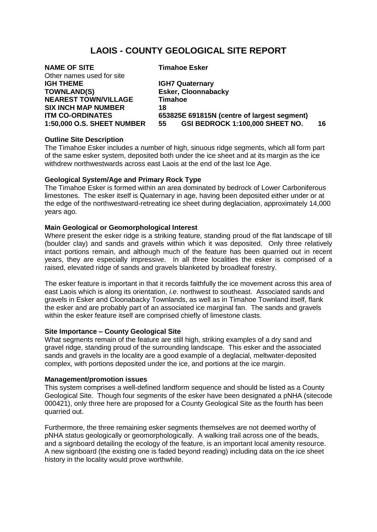# **LAOIS - COUNTY GEOLOGICAL SITE REPORT**

| 16 |  |
|----|--|
|    |  |

# **Outline Site Description**

The Timahoe Esker includes a number of high, sinuous ridge segments, which all form part of the same esker system, deposited both under the ice sheet and at its margin as the ice withdrew northwestwards across east Laois at the end of the last Ice Age.

# **Geological System/Age and Primary Rock Type**

The Timahoe Esker is formed within an area dominated by bedrock of Lower Carboniferous limestones. The esker itself is Quaternary in age, having been deposited either under or at the edge of the northwestward-retreating ice sheet during deglaciation, approximately 14,000 years ago.

# **Main Geological or Geomorphological Interest**

Where present the esker ridge is a striking feature, standing proud of the flat landscape of till (boulder clay) and sands and gravels within which it was deposited. Only three relatively intact portions remain, and although much of the feature has been quarried out in recent years, they are especially impressive. In all three localities the esker is comprised of a raised, elevated ridge of sands and gravels blanketed by broadleaf forestry.

The esker feature is important in that it records faithfully the ice movement across this area of east Laois which is along its orientation, *i.e*. northwest to southeast. Associated sands and gravels in Esker and Cloonabacky Townlands, as well as in Timahoe Townland itself, flank the esker and are probably part of an associated ice marginal fan. The sands and gravels within the esker feature itself are comprised chiefly of limestone clasts.

### **Site Importance – County Geological Site**

What segments remain of the feature are still high, striking examples of a dry sand and gravel ridge, standing proud of the surrounding landscape. This esker and the associated sands and gravels in the locality are a good example of a deglacial, meltwater-deposited complex, with portions deposited under the ice, and portions at the ice margin.

### **Management/promotion issues**

This system comprises a well-defined landform sequence and should be listed as a County Geological Site. Though four segments of the esker have been designated a pNHA (sitecode 000421), only three here are proposed for a County Geological Site as the fourth has been quarried out.

Furthermore, the three remaining esker segments themselves are not deemed worthy of pNHA status geologically or geomorphologically. A walking trail across one of the beads, and a signboard detailing the ecology of the feature, is an important local amenity resource. A new signboard (the existing one is faded beyond reading) including data on the ice sheet history in the locality would prove worthwhile.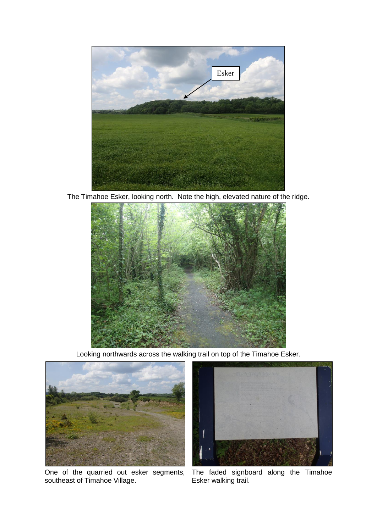

The Timahoe Esker, looking north. Note the high, elevated nature of the ridge.



Looking northwards across the walking trail on top of the Timahoe Esker.



One of the quarried out esker segments, southeast of Timahoe Village.



The faded signboard along the Timahoe Esker walking trail.